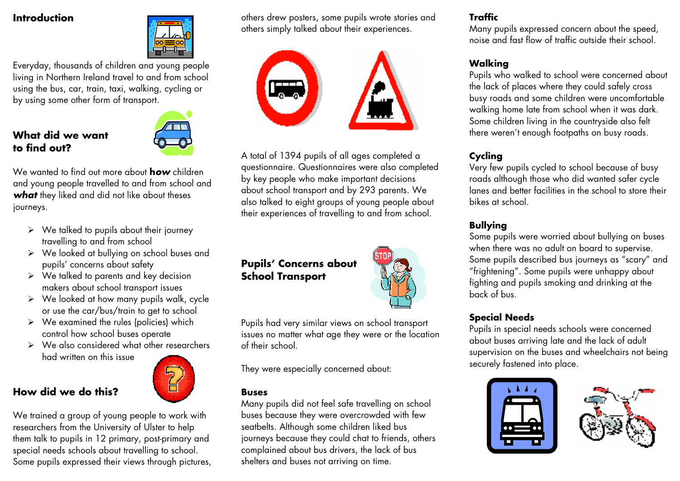#### **Introduction**



Everyday, thousands of children and young people living in Northern Ireland travel to and from school using the bus, car, train, taxi, walking, cycling or by using some other form of transport.

# **What did we want to find out?**



We wanted to find out more about **h***ow* children and young people travelled to and from school and *what* they liked and did not like about theses journeys.

- $\triangleright$  We talked to pupils about their journey travelling to and from school
- $\triangleright$  We looked at bullying on school buses and pupils' concerns about safety
- $\triangleright$  We talked to parents and key decision makers about school transport issues
- $\triangleright$  We looked at how many pupils walk, cycle or use the car/bus/train to get to school
- $\triangleright$  We examined the rules (policies) which control how school buses operate
- $\triangleright$  We also considered what other researchers had written on this issue

# **How did we do this?**



others drew posters, some pupils wrote stories and others simply talked about their experiences.



A total of 1394 pupils of all ages completed a questionnaire. Questionnaires were also completed by key people who make important decisions about school transport and by 293 parents. We also talked to eight groups of young people about their experiences of travelling to and from school.



Pupils had very similar views on school transport issues no matter what age they were or the location of their school.

They were especially concerned about:

#### **Buses**

Many pupils did not feel safe travelling on school buses because they were overcrowded with few seatbelts. Although some children liked bus journeys because they could chat to friends, others complained about bus drivers, the lack of bus shelters and buses not arriving on time.

# **Traffic**

Many pupils expressed concern about the speed, noise and fast flow of traffic outside their school.

## **Walking**

Pupils who walked to school were concerned about the lack of places where they could safely cross busy roads and some children were uncomfortable walking home late from school when it was dark. Some children living in the countryside also felt there weren't enough footpaths on busy roads.

# **Cycling**

Very few pupils cycled to school because of busy roads although those who did wanted safer cycle lanes and better facilities in the school to store their bikes at school.

### **Bullying**

Some pupils were worried about bullying on buses when there was no adult on board to supervise. Some pupils described bus journeys as "scary" and "frightening". Some pupils were unhappy about fighting and pupils smoking and drinking at the back of bus.

## **Special Needs**

Pupils in special needs schools were concerned about buses arriving late and the lack of adult supervision on the buses and wheelchairs not being securely fastened into place.